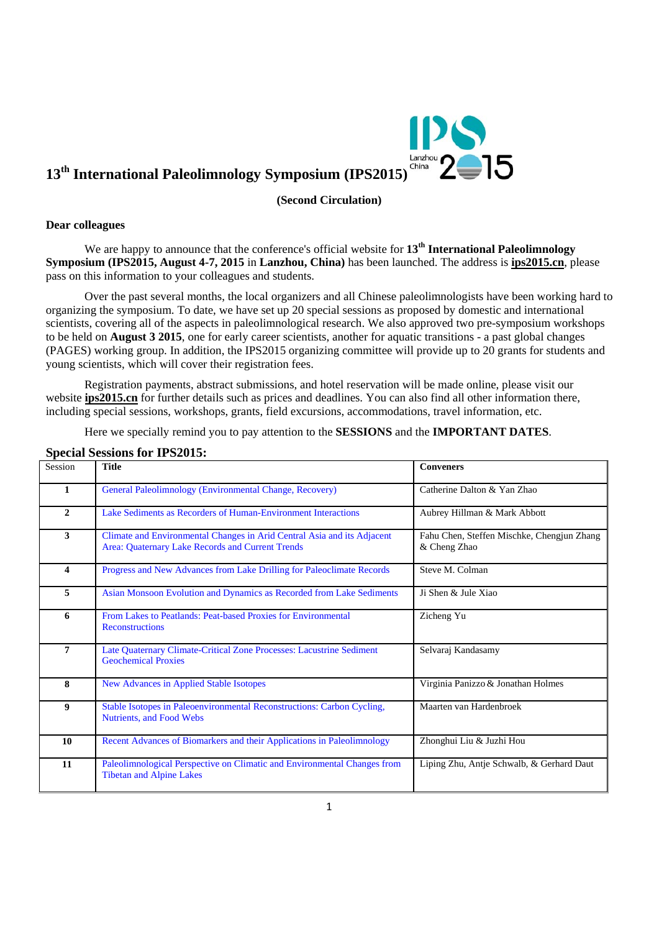

# 13<sup>th</sup> International Paleolimnology Symposium (IPS2015)<sup>China</sub> 2<sup>china</sup></sup>

**(Second Circulation)** 

#### **Dear colleagues**

We are happy to announce that the conference's official website for 13<sup>th</sup> International Paleolimnology **Symposium (IPS2015, August 4-7, 2015** in **Lanzhou, China)** has been launched. The address is **ips2015.cn**, please pass on this information to your colleagues and students.

 Over the past several months, the local organizers and all Chinese paleolimnologists have been working hard to organizing the symposium. To date, we have set up 20 special sessions as proposed by domestic and international scientists, covering all of the aspects in paleolimnological research. We also approved two pre-symposium workshops to be held on **August 3 2015**, one for early career scientists, another for aquatic transitions - a past global changes (PAGES) working group. In addition, the IPS2015 organizing committee will provide up to 20 grants for students and young scientists, which will cover their registration fees.

 Registration payments, abstract submissions, and hotel reservation will be made online, please visit our website **ips2015.cn** for further details such as prices and deadlines. You can also find all other information there, including special sessions, workshops, grants, field excursions, accommodations, travel information, etc.

Here we specially remind you to pay attention to the **SESSIONS** and the **IMPORTANT DATES**.

#### **Special Sessions for IPS2015:**

| Session        | <b>Title</b>                                                                                                                | <b>Conveners</b>                                           |
|----------------|-----------------------------------------------------------------------------------------------------------------------------|------------------------------------------------------------|
| $\mathbf{1}$   | General Paleolimnology (Environmental Change, Recovery)                                                                     | Catherine Dalton & Yan Zhao                                |
| $\overline{2}$ | Lake Sediments as Recorders of Human-Environment Interactions                                                               | Aubrey Hillman & Mark Abbott                               |
| 3              | Climate and Environmental Changes in Arid Central Asia and its Adjacent<br>Area: Quaternary Lake Records and Current Trends | Fahu Chen, Steffen Mischke, Chengjun Zhang<br>& Cheng Zhao |
| 4              | Progress and New Advances from Lake Drilling for Paleoclimate Records                                                       | Steve M. Colman                                            |
| 5              | Asian Monsoon Evolution and Dynamics as Recorded from Lake Sediments                                                        | Ji Shen & Jule Xiao                                        |
| 6              | From Lakes to Peatlands: Peat-based Proxies for Environmental<br><b>Reconstructions</b>                                     | Zicheng Yu                                                 |
| 7              | Late Quaternary Climate-Critical Zone Processes: Lacustrine Sediment<br><b>Geochemical Proxies</b>                          | Selvaraj Kandasamy                                         |
| 8              | <b>New Advances in Applied Stable Isotopes</b>                                                                              | Virginia Panizzo & Jonathan Holmes                         |
| 9              | Stable Isotopes in Paleoenvironmental Reconstructions: Carbon Cycling,<br>Nutrients, and Food Webs                          | Maarten van Hardenbroek                                    |
| 10             | Recent Advances of Biomarkers and their Applications in Paleolimnology                                                      | Zhonghui Liu & Juzhi Hou                                   |
| 11             | Paleolimnological Perspective on Climatic and Environmental Changes from<br><b>Tibetan and Alpine Lakes</b>                 | Liping Zhu, Antje Schwalb, & Gerhard Daut                  |